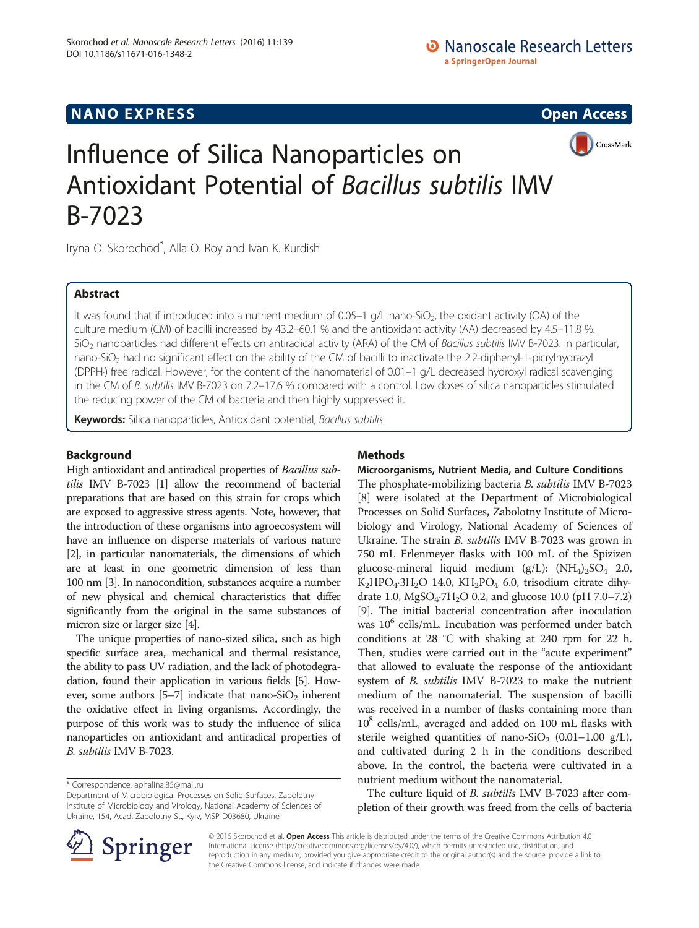# **NANO EXPRESS** Open Access and the set of the set of the set of the set of the set of the set of the set of the set of the set of the set of the set of the set of the set of the set of the set of the set of the set of the



# Influence of Silica Nanoparticles on Antioxidant Potential of Bacillus subtilis IMV B-7023

Iryna O. Skorochod\* , Alla O. Roy and Ivan K. Kurdish

# Abstract

It was found that if introduced into a nutrient medium of 0.05–1 g/L nano-SiO<sub>2</sub>, the oxidant activity (OA) of the culture medium (CM) of bacilli increased by 43.2–60.1 % and the antioxidant activity (AA) decreased by 4.5–11.8 %. SiO<sub>2</sub> nanoparticles had different effects on antiradical activity (ARA) of the CM of Bacillus subtilis IMV B-7023. In particular, nano-SiO<sub>2</sub> had no significant effect on the ability of the CM of bacilli to inactivate the 2.2-diphenyl-1-picrylhydrazyl (DPPH·) free radical. However, for the content of the nanomaterial of 0.01–1 g/L decreased hydroxyl radical scavenging in the CM of B. subtilis IMV B-7023 on 7.2–17.6 % compared with a control. Low doses of silica nanoparticles stimulated the reducing power of the CM of bacteria and then highly suppressed it.

Keywords: Silica nanoparticles, Antioxidant potential, Bacillus subtilis

# Background

High antioxidant and antiradical properties of Bacillus subtilis IMV B-7023 [[1](#page-4-0)] allow the recommend of bacterial preparations that are based on this strain for crops which are exposed to aggressive stress agents. Note, however, that the introduction of these organisms into agroecosystem will have an influence on disperse materials of various nature [[2](#page-4-0)], in particular nanomaterials, the dimensions of which are at least in one geometric dimension of less than 100 nm [\[3](#page-4-0)]. In nanocondition, substances acquire a number of new physical and chemical characteristics that differ significantly from the original in the same substances of micron size or larger size [\[4](#page-4-0)].

The unique properties of nano-sized silica, such as high specific surface area, mechanical and thermal resistance, the ability to pass UV radiation, and the lack of photodegradation, found their application in various fields [\[5](#page-4-0)]. However, some authors  $[5-7]$  $[5-7]$  $[5-7]$  $[5-7]$  indicate that nano-SiO<sub>2</sub> inherent the oxidative effect in living organisms. Accordingly, the purpose of this work was to study the influence of silica nanoparticles on antioxidant and antiradical properties of B. subtilis IMV <sup>В</sup>-7023.

# **Methods**

Microorganisms, Nutrient Media, and Culture Conditions

The phosphate-mobilizing bacteria B. subtilis IMV B-7023 [[8\]](#page-4-0) were isolated at the Department of Microbiological Processes on Solid Surfaces, Zabolotny Institute of Microbiology and Virology, National Academy of Sciences of Ukraine. The strain B. subtilis IMV B-7023 was grown in 750 mL Erlenmeyer flasks with 100 mL of the Spizizen glucose-mineral liquid medium  $(g/L)$ :  $(NH<sub>4</sub>)<sub>2</sub>SO<sub>4</sub> 2.0$ , K<sub>2</sub>HPO<sub>4</sub>·3H<sub>2</sub>O 14.0, KH<sub>2</sub>PO<sub>4</sub> 6.0, trisodium citrate dihydrate 1.0,  $MgSO<sub>4</sub>·7H<sub>2</sub>O$  0.2, and glucose 10.0 (pH 7.0–7.2) [[9\]](#page-4-0). The initial bacterial concentration after inoculation was  $10^6$  cells/mL. Incubation was performed under batch conditions at 28 °C with shaking at 240 rpm for 22 h. Then, studies were carried out in the "acute experiment" that allowed to evaluate the response of the antioxidant system of B. subtilis IMV B-7023 to make the nutrient medium of the nanomaterial. The suspension of bacilli was received in a number of flasks containing more than  $10^8$  cells/mL, averaged and added on 100 mL flasks with sterile weighed quantities of nano-SiO<sub>2</sub> (0.01–1.00 g/L), and cultivated during 2 h in the conditions described above. In the control, the bacteria were cultivated in a nutrient medium without the nanomaterial.

The culture liquid of B. subtilis IMV B-7023 after completion of their growth was freed from the cells of bacteria



© 2016 Skorochod et al. Open Access This article is distributed under the terms of the Creative Commons Attribution 4.0 International License ([http://creativecommons.org/licenses/by/4.0/\)](http://creativecommons.org/licenses/by/4.0/), which permits unrestricted use, distribution, and reproduction in any medium, provided you give appropriate credit to the original author(s) and the source, provide a link to the Creative Commons license, and indicate if changes were made.

<sup>\*</sup> Correspondence: [aphalina.85@mail.ru](mailto:aphalina.85@mail.ru)

Department of Microbiological Processes on Solid Surfaces, Zabolotny Institute of Microbiology and Virology, National Academy of Sciences of Ukraine, 154, Acad. Zabolotny St., Kyiv, MSP D03680, Ukraine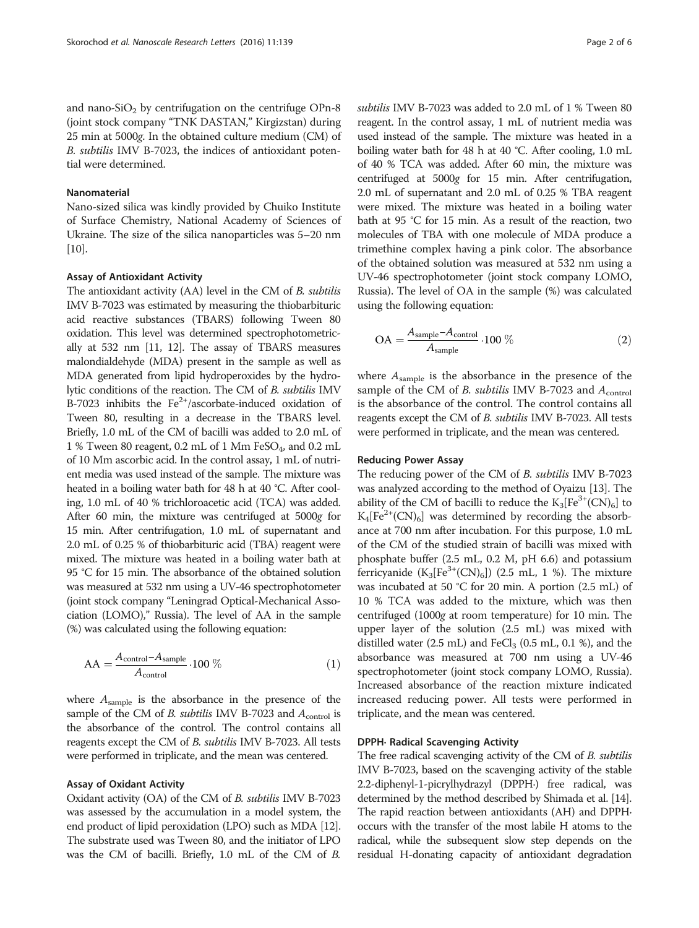and nano-SiO<sub>2</sub> by centrifugation on the centrifuge OPn-8 (joint stock company "TNK DASTAN," Kirgizstan) during 25 min at 5000g. In the obtained culture medium (CM) of B. subtilis IMV B-7023, the indices of antioxidant potential were determined.

### Nanomaterial

Nano-sized silica was kindly provided by Chuiko Institute of Surface Chemistry, National Academy of Sciences of Ukraine. The size of the silica nanoparticles was 5–20 nm  $[10]$  $[10]$  $[10]$ .

#### Assay of Antioxidant Activity

The antioxidant activity (AA) level in the CM of B. subtilis IMV B-7023 was estimated by measuring the thiobarbituric acid reactive substances (TBARS) following Tween 80 oxidation. This level was determined spectrophotometrically at 532 nm [[11](#page-4-0), [12](#page-4-0)]. The assay of TBARS measures malondialdehyde (MDA) present in the sample as well as MDA generated from lipid hydroperoxides by the hydrolytic conditions of the reaction. The CM of B. subtilis IMV B-7023 inhibits the  $Fe^{2+}/$ ascorbate-induced oxidation of Tween 80, resulting in a decrease in the TBARS level. Briefly, 1.0 mL of the CM of bacilli was added to 2.0 mL of 1 % Tween 80 reagent, 0.2 mL of 1 Mm  $FeSO<sub>4</sub>$ , and 0.2 mL of 10 Mm ascorbic acid. In the control assay, 1 mL of nutrient media was used instead of the sample. The mixture was heated in a boiling water bath for 48 h at 40 °C. After cooling, 1.0 mL of 40 % trichloroacetic acid (TCA) was added. After 60 min, the mixture was centrifuged at 5000g for 15 min. After centrifugation, 1.0 mL of supernatant and 2.0 mL of 0.25 % of thiobarbituric acid (TBA) reagent were mixed. The mixture was heated in a boiling water bath at 95 °C for 15 min. The absorbance of the obtained solution was measured at 532 nm using a UV-46 spectrophotometer (joint stock company "Leningrad Optical-Mechanical Association (LOMO)," Russia). The level of AA in the sample (%) was calculated using the following equation:

$$
AA = \frac{A_{\text{control}} - A_{\text{sample}}}{A_{\text{control}}} \cdot 100\,\%
$$
\n(1)

where  $A_{\text{sample}}$  is the absorbance in the presence of the sample of the CM of *B. subtilis* IMV B-7023 and  $A_{control}$  is the absorbance of the control. The control contains all reagents except the CM of B. subtilis IMV B-7023. All tests were performed in triplicate, and the mean was centered.

#### Assay of Oxidant Activity

Oxidant activity (OA) of the CM of B. subtilis IMV B-7023 was assessed by the accumulation in a model system, the end product of lipid peroxidation (LPO) such as MDA [\[12](#page-4-0)]. The substrate used was Tween 80, and the initiator of LPO was the CM of bacilli. Briefly, 1.0 mL of the CM of B.

subtilis IMV B-7023 was added to 2.0 mL of 1 % Tween 80 reagent. In the control assay, 1 mL of nutrient media was used instead of the sample. The mixture was heated in a boiling water bath for 48 h at 40 °C. After cooling, 1.0 mL of 40 % TCA was added. After 60 min, the mixture was centrifuged at 5000g for 15 min. After centrifugation, 2.0 mL of supernatant and 2.0 mL of 0.25 % TBA reagent were mixed. The mixture was heated in a boiling water bath at 95 °C for 15 min. As a result of the reaction, two molecules of TBA with one molecule of MDA produce a trimethine complex having a pink color. The absorbance of the obtained solution was measured at 532 nm using a UV-46 spectrophotometer (joint stock company LOMO, Russia). The level of OA in the sample (%) was calculated using the following equation:

$$
OA = \frac{A_{\text{sample}} - A_{\text{control}}}{A_{\text{sample}}} \cdot 100\,\%
$$
 (2)

where  $A_{\text{sample}}$  is the absorbance in the presence of the sample of the CM of B. subtilis IMV B-7023 and  $A_{\text{control}}$ is the absorbance of the control. The control contains all reagents except the CM of B. subtilis IMV B-7023. All tests were performed in triplicate, and the mean was centered.

#### Reducing Power Assay

The reducing power of the CM of B. subtilis IMV B-7023 was analyzed according to the method of Oyaizu [\[13\]](#page-4-0). The ability of the CM of bacilli to reduce the  $K_3[Fe^{3+}(CN)_6]$  to  $K_4[Fe^{2+}(CN)_6]$  was determined by recording the absorbance at 700 nm after incubation. For this purpose, 1.0 mL of the CM of the studied strain of bacilli was mixed with phosphate buffer (2.5 mL, 0.2 M, pH 6.6) and potassium ferricyanide  $(K_3[Fe^{3+}(CN)_6])$  (2.5 mL, 1 %). The mixture was incubated at 50 °C for 20 min. A portion (2.5 mL) of 10 % TCA was added to the mixture, which was then centrifuged (1000g at room temperature) for 10 min. The upper layer of the solution (2.5 mL) was mixed with distilled water  $(2.5 \text{ mL})$  and FeCl<sub>3</sub>  $(0.5 \text{ mL}, 0.1 \text{ %})$ , and the absorbance was measured at 700 nm using a UV-46 spectrophotometer (joint stock company LOMO, Russia). Increased absorbance of the reaction mixture indicated increased reducing power. All tests were performed in triplicate, and the mean was centered.

#### DPPH· Radical Scavenging Activity

The free radical scavenging activity of the CM of B. subtilis IMV B-7023, based on the scavenging activity of the stable 2.2-diphenyl-1-picrylhydrazyl (DPPH·) free radical, was determined by the method described by Shimada et al. [\[14](#page-4-0)]. The rapid reaction between antioxidants (AH) and DPPH· occurs with the transfer of the most labile H atoms to the radical, while the subsequent slow step depends on the residual H-donating capacity of antioxidant degradation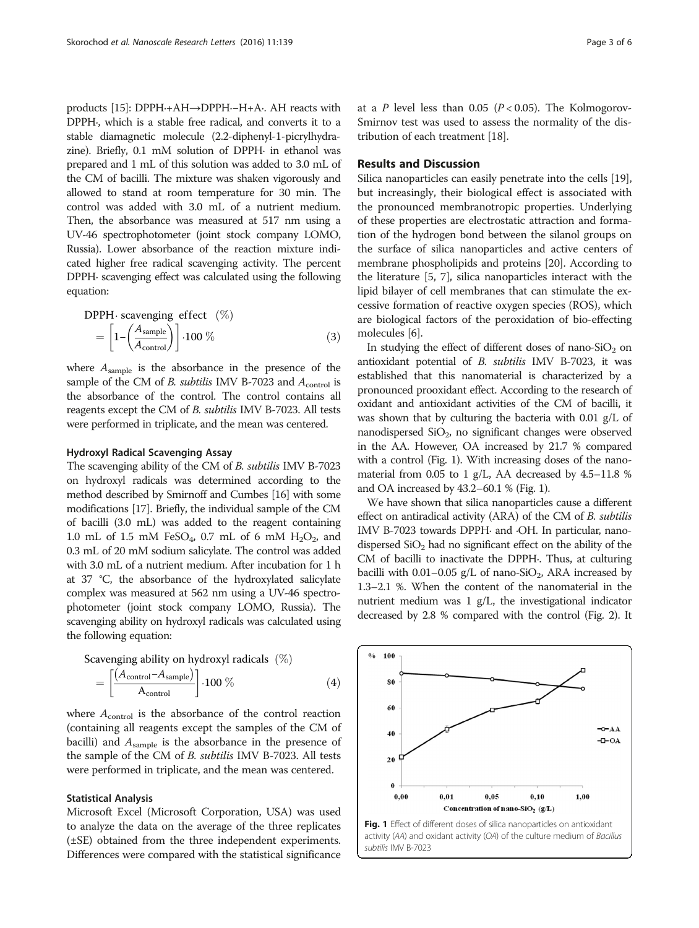products [\[15\]](#page-4-0): DPPH·+AH→DPPH·−H+A·. AH reacts with DPPH·, which is a stable free radical, and converts it to a stable diamagnetic molecule (2.2-diphenyl-1-picrylhydrazine). Briefly, 0.1 mM solution of DPPH· in ethanol was prepared and 1 mL of this solution was added to 3.0 mL of the CM of bacilli. The mixture was shaken vigorously and allowed to stand at room temperature for 30 min. The control was added with 3.0 mL of a nutrient medium. Then, the absorbance was measured at 517 nm using a UV-46 spectrophotometer (joint stock company LOMO, Russia). Lower absorbance of the reaction mixture indicated higher free radical scavenging activity. The percent DPPH· scavenging effect was calculated using the following equation:

$$
DPPH \cdot scavenging effect \quad (\%)
$$
  
=  $\left[1 - \left(\frac{A_{\text{sample}}}{A_{\text{control}}}\right)\right] \cdot 100 \%$  (3)

where <sup>A</sup>sample is the absorbance in the presence of the sample of the CM of B. subtilis IMV B-7023 and  $A_{control}$  is the absorbance of the control. The control contains all reagents except the CM of B. subtilis IMV B-7023. All tests were performed in triplicate, and the mean was centered.

#### Hydroxyl Radical Scavenging Assay

The scavenging ability of the CM of B. subtilis IMV B-7023 on hydroxyl radicals was determined according to the method described by Smirnoff and Cumbes [\[16\]](#page-4-0) with some modifications [\[17\]](#page-4-0). Briefly, the individual sample of the CM of bacilli (3.0 mL) was added to the reagent containing 1.0 mL of 1.5 mM FeSO<sub>4</sub>, 0.7 mL of 6 mM  $H_2O_2$ , and 0.3 mL of 20 mM sodium salicylate. The control was added with 3.0 mL of a nutrient medium. After incubation for 1 h at 37 °C, the absorbance of the hydroxylated salicylate complex was measured at 562 nm using a UV-46 spectrophotometer (joint stock company LOMO, Russia). The scavenging ability on hydroxyl radicals was calculated using the following equation:

Scavenging ability on hydroxyl radicals  $(\%)$ 

$$
= \left[ \frac{(A_{\text{control}} - A_{\text{sample}})}{A_{\text{control}}} \right] \cdot 100\,\,\%
$$
\n(4)

where  $A_{control}$  is the absorbance of the control reaction (containing all reagents except the samples of the CM of bacilli) and  $A_{\text{sample}}$  is the absorbance in the presence of the sample of the CM of B. subtilis IMV B-7023. All tests were performed in triplicate, and the mean was centered.

#### Statistical Analysis

Microsoft Excel (Microsoft Corporation, USA) was used to analyze the data on the average of the three replicates (±SE) obtained from the three independent experiments. Differences were compared with the statistical significance at a P level less than 0.05 ( $P < 0.05$ ). The Kolmogorov-Smirnov test was used to assess the normality of the distribution of each treatment [[18](#page-4-0)].

#### Results and Discussion

Silica nanoparticles can easily penetrate into the cells [[19](#page-4-0)], but increasingly, their biological effect is associated with the pronounced membranotropic properties. Underlying of these properties are electrostatic attraction and formation of the hydrogen bond between the silanol groups on the surface of silica nanoparticles and active centers of membrane phospholipids and proteins [\[20](#page-4-0)]. According to the literature [[5](#page-4-0), [7](#page-4-0)], silica nanoparticles interact with the lipid bilayer of cell membranes that can stimulate the excessive formation of reactive oxygen species (ROS), which are biological factors of the peroxidation of bio-effecting molecules [\[6](#page-4-0)].

In studying the effect of different doses of nano-SiO<sub>2</sub> on antioxidant potential of B. subtilis IMV B-7023, it was established that this nanomaterial is characterized by a pronounced prooxidant effect. According to the research of oxidant and antioxidant activities of the CM of bacilli, it was shown that by culturing the bacteria with 0.01 g/L of nanodispersed  $SiO<sub>2</sub>$ , no significant changes were observed in the AA. However, OA increased by 21.7 % compared with a control (Fig. 1). With increasing doses of the nanomaterial from 0.05 to 1 g/L, AA decreased by 4.5–11.8 % and OA increased by 43.2–60.1 % (Fig. 1).

We have shown that silica nanoparticles cause a different effect on antiradical activity (ARA) of the CM of B. subtilis IMV B-7023 towards DPPH· and ·OH. In particular, nanodispersed  $SiO<sub>2</sub>$  had no significant effect on the ability of the CM of bacilli to inactivate the DPPH·. Thus, at culturing bacilli with  $0.01-0.05$  g/L of nano-SiO<sub>2</sub>, ARA increased by 1.3–2.1 %. When the content of the nanomaterial in the nutrient medium was 1 g/L, the investigational indicator decreased by 2.8 % compared with the control (Fig. [2\)](#page-3-0). It

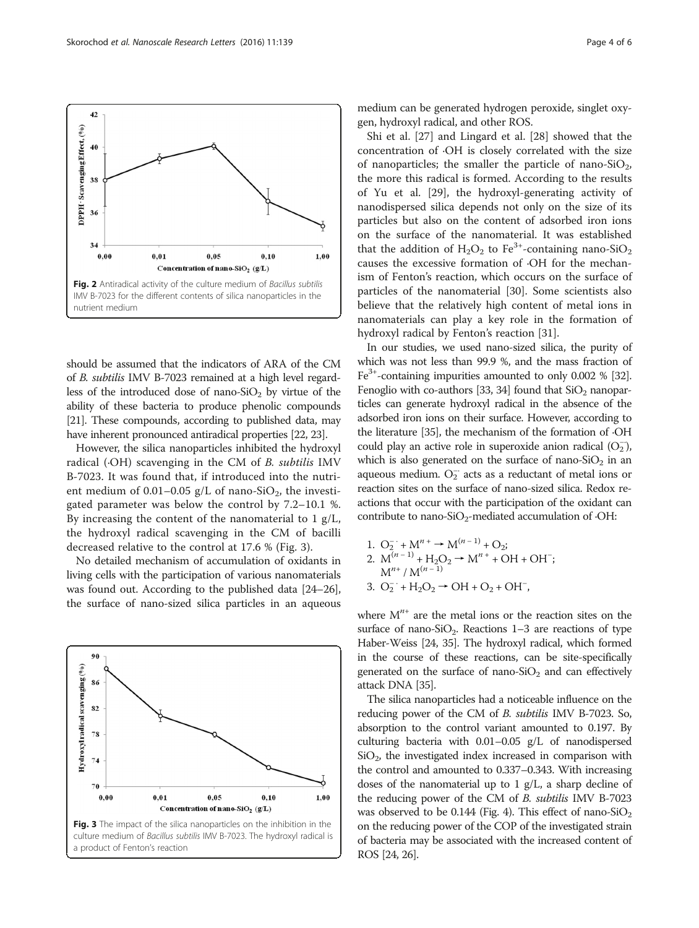<span id="page-3-0"></span>Skorochod et al. Nanoscale Research Letters (2016) 11:139 Page 4 of 6



should be assumed that the indicators of ARA of the CM of B. subtilis IMV B-7023 remained at a high level regardless of the introduced dose of nano-SiO<sub>2</sub> by virtue of the ability of these bacteria to produce phenolic compounds [[21](#page-5-0)]. These compounds, according to published data, may have inherent pronounced antiradical properties [[22](#page-5-0), [23](#page-5-0)].

However, the silica nanoparticles inhibited the hydroxyl radical (·OH) scavenging in the CM of B. subtilis IMV B-7023. It was found that, if introduced into the nutrient medium of  $0.01-0.05$  g/L of nano-SiO<sub>2</sub>, the investigated parameter was below the control by 7.2–10.1 %. By increasing the content of the nanomaterial to  $1 \text{ g/L}$ , the hydroxyl radical scavenging in the CM of bacilli decreased relative to the control at 17.6 % (Fig. 3).

No detailed mechanism of accumulation of oxidants in living cells with the participation of various nanomaterials was found out. According to the published data [\[24](#page-5-0)–[26](#page-5-0)], the surface of nano-sized silica particles in an aqueous



medium can be generated hydrogen peroxide, singlet oxygen, hydroxyl radical, and other ROS.

Shi et al. [[27\]](#page-5-0) and Lingard et al. [[28\]](#page-5-0) showed that the concentration of ·OH is closely correlated with the size of nanoparticles; the smaller the particle of nano-SiO<sub>2</sub>, the more this radical is formed. According to the results of Yu et al. [[29\]](#page-5-0), the hydroxyl-generating activity of nanodispersed silica depends not only on the size of its particles but also on the content of adsorbed iron ions on the surface of the nanomaterial. It was established that the addition of  $H_2O_2$  to Fe<sup>3+</sup>-containing nano-SiO<sub>2</sub> causes the excessive formation of ·OH for the mechanism of Fenton's reaction, which occurs on the surface of particles of the nanomaterial [\[30](#page-5-0)]. Some scientists also believe that the relatively high content of metal ions in nanomaterials can play a key role in the formation of hydroxyl radical by Fenton's reaction [[31](#page-5-0)].

In our studies, we used nano-sized silica, the purity of which was not less than 99.9 %, and the mass fraction of  $Fe<sup>3+</sup>$ -containing impurities amounted to only 0.002 % [\[32](#page-5-0)]. Fenoglio with co-authors [[33](#page-5-0), [34](#page-5-0)] found that  $SiO<sub>2</sub>$  nanoparticles can generate hydroxyl radical in the absence of the adsorbed iron ions on their surface. However, according to the literature [[35](#page-5-0)], the mechanism of the formation of ·OH could play an active role in superoxide anion radical  $(O_2^-)$ , which is also generated on the surface of nano-SiO<sub>2</sub> in an aqueous medium.  $O_2^-$  acts as a reductant of metal ions or reaction sites on the surface of nano-sized silica. Redox reactions that occur with the participation of the oxidant can contribute to nano-SiO<sub>2</sub>-mediated accumulation of  $\cdot$ OH:

1.  $O_2^-$  +  $M^{n}$  +  $\rightarrow$   $M^{(n-1)}$  +  $O_2$ ;

2. 
$$
M^{(n-1)} + H_2O_2 \rightarrow M^{n+} + OH + OH^-
$$
;  
\n $M^{n+} / M^{(n-1)}$   
\n3.  $O_2^- + H_2O_2 \rightarrow OH + O_2 + OH^-$ ,

where  $M^{n+}$  are the metal ions or the reaction sites on the surface of nano-SiO<sub>2</sub>. Reactions  $1-3$  are reactions of type Haber-Weiss [\[24, 35\]](#page-5-0). The hydroxyl radical, which formed in the course of these reactions, can be site-specifically generated on the surface of nano-SiO<sub>2</sub> and can effectively attack DNA [\[35\]](#page-5-0).

The silica nanoparticles had a noticeable influence on the reducing power of the CM of B. subtilis IMV B-7023. So, absorption to the control variant amounted to 0.197. By culturing bacteria with 0.01–0.05 g/L of nanodispersed  $SiO<sub>2</sub>$ , the investigated index increased in comparison with the control and amounted to 0.337–0.343. With increasing doses of the nanomaterial up to 1 g/L, a sharp decline of the reducing power of the CM of B. subtilis IMV B-7023 was observed to be 0.144 (Fig. [4](#page-4-0)). This effect of nano-SiO<sub>2</sub> on the reducing power of the COP of the investigated strain of bacteria may be associated with the increased content of ROS [\[24, 26\]](#page-5-0).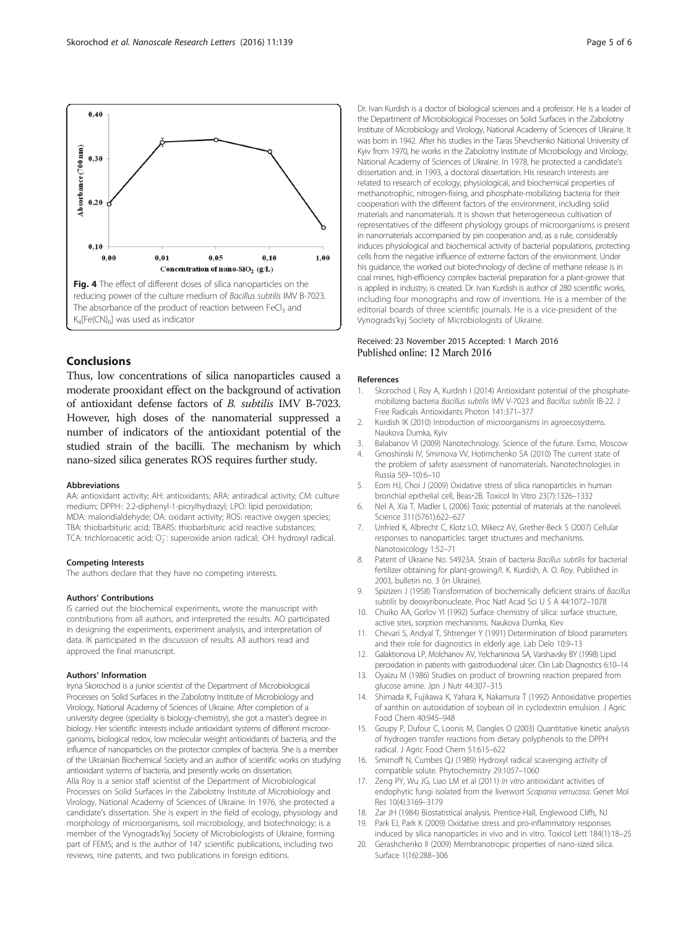<span id="page-4-0"></span>

## Conclusions

Thus, low concentrations of silica nanoparticles caused a moderate prooxidant effect on the background of activation of antioxidant defense factors of B. subtilis IMV <sup>В</sup>-7023. However, high doses of the nanomaterial suppressed a number of indicators of the antioxidant potential of the studied strain of the bacilli. The mechanism by which nano-sized silica generates ROS requires further study.

#### Abbreviations

AA: antioxidant activity; AH: antioxidants; ARA: antiradical activity; CM: culture medium; DPPH·: 2.2-diphenyl-1-picrylhydrazyl; LPO: lipid peroxidation; MDA: malondialdehyde; OA: oxidant activity; ROS: reactive oxygen species; TBA: thiobarbituric acid; TBARS: thiobarbituric acid reactive substances; TCA: trichloroacetic acid; O $_2^{\!\!\!\!\!\!\!\sim}$ : superoxide anion radical;  $\cdot$ OH: hydroxyl radical.

#### Competing Interests

The authors declare that they have no competing interests.

#### Authors' Contributions

IS carried out the biochemical experiments, wrote the manuscript with contributions from all authors, and interpreted the results. AO participated in designing the experiments, experiment analysis, and interpretation of data. IK participated in the discussion of results. All authors read and approved the final manuscript.

#### Authors' Information

Iryna Skorochod is a junior scientist of the Department of Microbiological Processes on Solid Surfaces in the Zabolotny Institute of Microbiology and Virology, National Academy of Sciences of Ukraine. After completion of a university degree (speciality is biology-chemistry), she got a master's degree in biology. Her scientific interests include antioxidant systems of different microorganisms, biological redox, low molecular weight antioxidants of bacteria, and the influence of nanoparticles on the protector complex of bacteria. She is a member of the Ukrainian Biochemical Society and an author of scientific works on studying antioxidant systems of bacteria, and presently works on dissertation. Alla Roy is a senior staff scientist of the Department of Microbiological Processes on Solid Surfaces in the Zabolotny Institute of Microbiology and Virology, National Academy of Sciences of Ukraine. In 1976, she protected a candidate's dissertation. She is expert in the field of ecology, physiology and morphology of microorganisms, soil microbiology, and biotechnology; is a member of the Vynograds'kyj Society of Microbiologists of Ukraine, forming part of FEMS; and is the author of 147 scientific publications, including two reviews, nine patents, and two publications in foreign editions.

Dr. Ivan Kurdish is a doctor of biological sciences and a professor. He is a leader of the Department of Microbiological Processes on Solid Surfaces in the Zabolotny Institute of Microbiology and Virology, National Academy of Sciences of Ukraine. It was born in 1942. After his studies in the Taras Shevchenko National University of Kyiv from 1970, he works in the Zabolotny Institute of Microbiology and Virology, National Academy of Sciences of Ukraine. In 1978, he protected a candidate's dissertation and, in 1993, a doctoral dissertation. His research interests are related to research of ecology, physiological, and biochemical properties of methanotrophic, nitrogen-fixing, and phosphate-mobilizing bacteria for their cooperation with the different factors of the environment, including solid materials and nanomaterials. It is shown that heterogeneous cultivation of representatives of the different physiology groups of microorganisms is present in nanomaterials accompanied by pin cooperation and, as a rule, considerably induces physiological and biochemical activity of bacterial populations, protecting cells from the negative influence of extreme factors of the environment. Under his guidance, the worked out biotechnology of decline of methane release is in coal mines, high-efficiency complex bacterial preparation for a plant-grower that is applied in industry, is created. Dr. Ivan Kurdish is author of 280 scientific works, including four monographs and row of inventions. He is a member of the editorial boards of three scientific journals. He is a vice-president of the Vynograds'kyj Society of Microbiologists of Ukraine.

#### Received: 23 November 2015 Accepted: 1 March 2016 Published online: 12 March 2016

#### References

- 1. Skorochod I, Roy A, Kurdish I (2014) Antioxidant potential of the phosphatemobilizing bacteria Bacillus subtilis IMV V-7023 and Bacillus subtilis IB-22. J Free Radicals Antioxidants Photon 141:371–377
- 2. Kurdish IK (2010) Introduction of microorganisms in agroecosystems. Naukova Dumka, Kyiv
- 3. Balabanov VI (2009) Nanotechnology. Science of the future. Exmo, Moscow
- 4. Gmoshinski IV, Smirnova VV, Hotimchenko SA (2010) The current state of the problem of safety assessment of nanomaterials. Nanotechnologies in Russia 5(9–10):6–10
- 5. Eom HJ, Choi J (2009) Oxidative stress of silica nanoparticles in human bronchial epithelial cell, Beas‐2B. Toxicol In Vitro 23(7):1326–1332
- 6. Nel A, Xia T, Madler L (2006) Toxic potential of materials at the nanolevel. Science 311(5761):622–627
- 7. Unfried K, Albrecht C, Klotz LO, Mikecz AV, Grether-Beck S (2007) Cellular responses to nanoparticles: target structures and mechanisms. Nanotoxicology 1:52–71
- 8. Patent of Ukraine No. 54923A. Strain of bacteria Bacillus subtilis for bacterial fertilizer obtaining for plant-growing/I. K. Kurdish, A. O. Roy. Published in 2003, bulletin no. 3 (in Ukraine).
- 9. Spizizen J (1958) Transformation of biochemically deficient strains of Bacillus subtilis by deoxyribonucleate. Proc Natl Acad Sci U S A 44:1072–1078
- 10. Chuiko AA, Gorlov YI (1992) Surface chemistry of silica: surface structure, active sites, sorption mechanisms. Naukova Dumka, Kiev
- 11. Chevari S, Andyal T, Shtrenger Y (1991) Determination of blood parameters and their role for diagnostics in elderly age. Lab Delo 10:9–13
- 12. Galaktionova LP, Molchanov AV, Yelchaninova SA, Varshavsky BY (1998) Lipid peroxidation in patients with gastroduodenal ulcer. Clin Lab Diagnostics 6:10–14
- 13. Oyaizu M (1986) Studies on product of browning reaction prepared from glucose amine. Jpn J Nutr 44:307–315
- 14. Shimada K, Fujikawa K, Yahara K, Nakamura T (1992) Antioxidative properties of xanthin on autoxidation of soybean oil in cyclodextrin emulsion. J Agric Food Chem 40:945–948
- 15. Goupy P, Dufour C, Loonis M, Dangles O (2003) Quantitative kinetic analysis of hydrogen transfer reactions from dietary polyphenols to the DPPH radical. J Agric Food Chem 51:615–622
- 16. Smirnoff N, Cumbes QJ (1989) Hydroxyl radical scavenging activity of compatible solute. Phytochemistry 29:1057–1060
- 17. Zeng PY, Wu JG, Liao LM et al (2011) In vitro antioxidant activities of endophytic fungi isolated from the liverwort Scapania verrucosa. Genet Mol Res 10(4):3169–3179
- 18. Zar JH (1984) Biostatistical analysis. Prentice-Hall, Englewood Cliffs, NJ
- 19. Park EJ, Park K (2009) Oxidative stress and pro-inflammatory responses induced by silica nanoparticles in vivo and in vitro. Toxicol Lett 184(1):18–25
- 20. Gerashchenko II (2009) Membranotropic properties of nano-sized silica. Surface 1(16):288–306